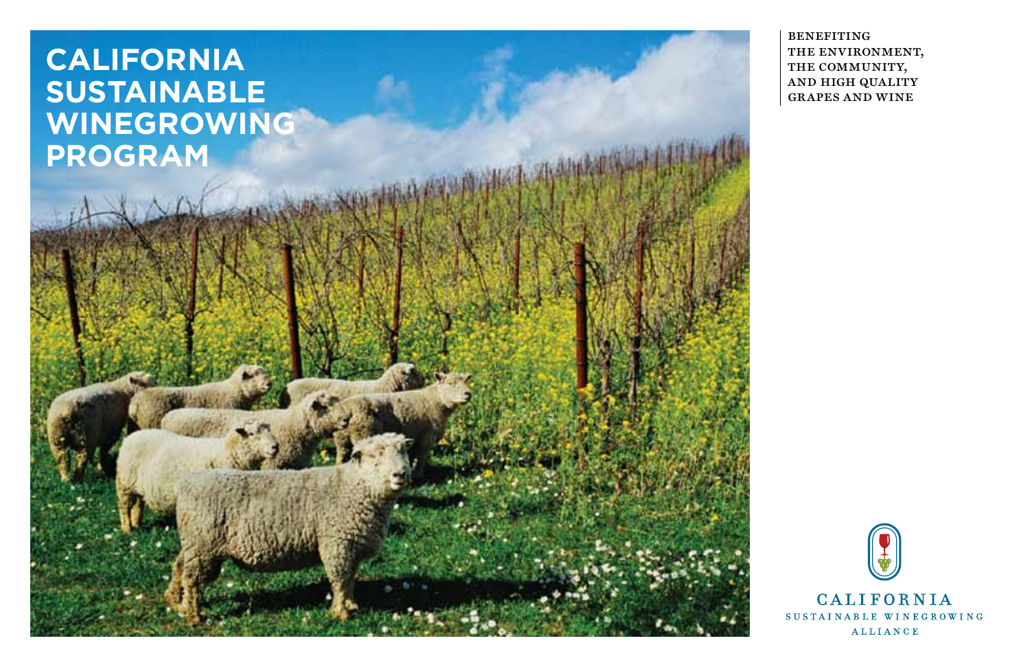# **California Sustainable Winegrowing Program**

benefiting the environment, THE COMMUNITY, and high quality grapes and wine

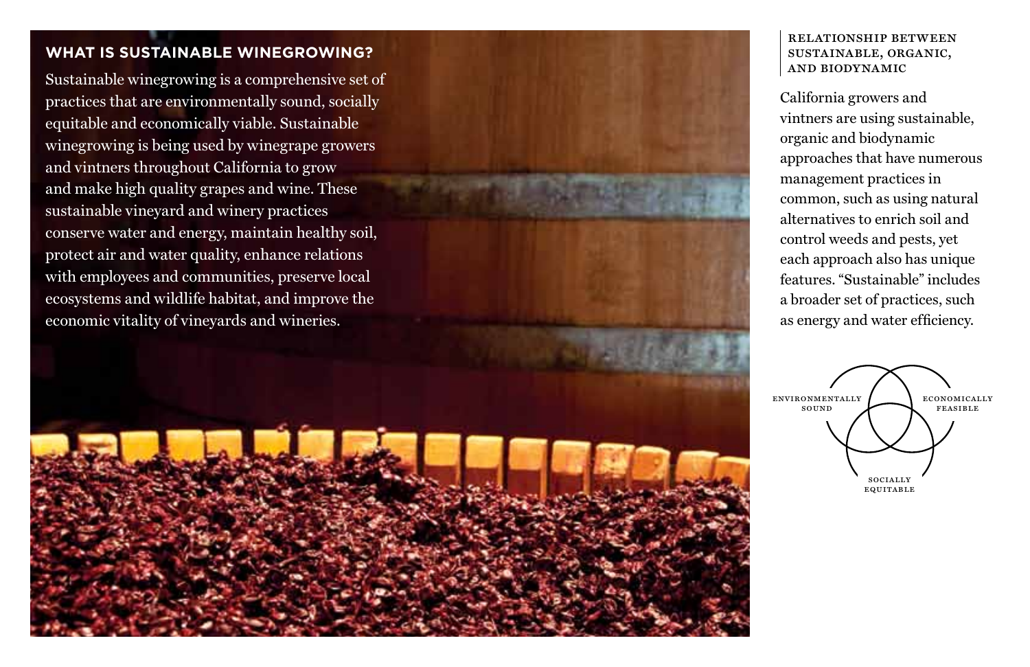## **WHAT IS SUSTAINABLE WINEGROWING?**

Sustainable winegrowing is a comprehensive set of practices that are environmentally sound, socially equitable and economically viable. Sustainable winegrowing is being used by winegrape growers and vintners throughout California to grow and make high quality grapes and wine. These sustainable vineyard and winery practices conserve water and energy, maintain healthy soil, protect air and water quality, enhance relations with employees and communities, preserve local ecosystems and wildlife habitat, and improve the economic vitality of vineyards and wineries.



#### relationship between sustainable, organic, and biodynamic

California growers and vintners are using sustainable, organic and biodynamic approaches that have numerous management practices in common, such as using natural alternatives to enrich soil and control weeds and pests, yet each approach also has unique features. "Sustainable" includes a broader set of practices, such as energy and water efficiency.

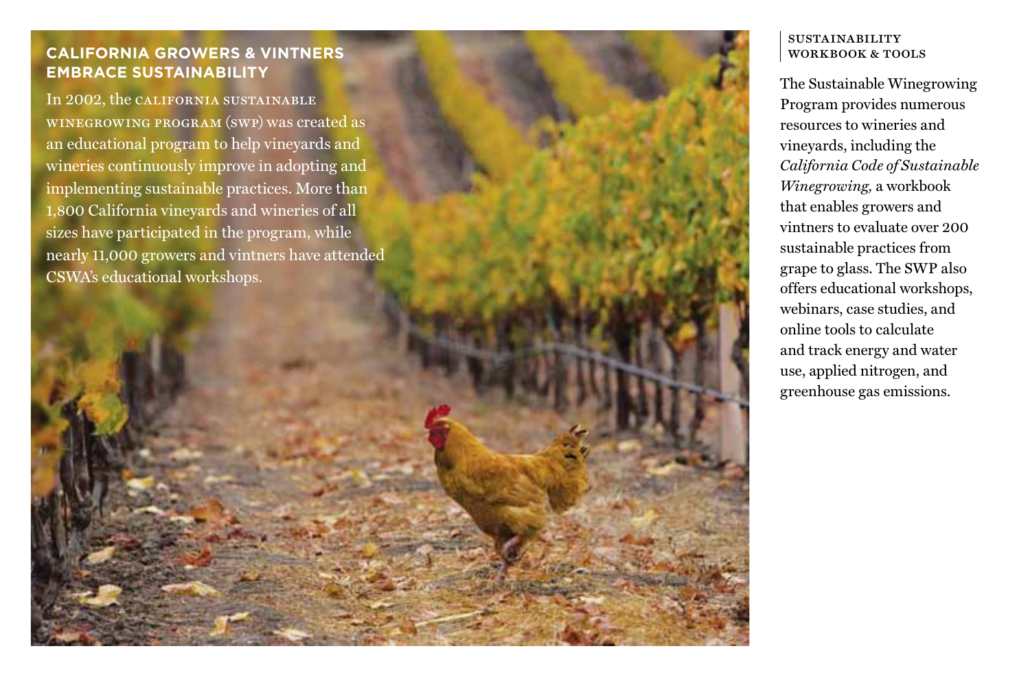# **CALIFORNIA GROWERS & VINTNERS EMBRACE SUSTAINABILITY**

In 2002, the california sustainable winegrowing program (swp) was created as an educational program to help vineyards and wineries continuously improve in adopting and implementing sustainable practices. More than 1,800 California vineyards and wineries of all sizes have participated in the program, while nearly 11,000 growers and vintners have attended CSWA's educational workshops.

#### **SUSTAINABILITY** WORKBOOK & TOOLS

The Sustainable Winegrowing Program provides numerous resources to wineries and vineyards, including the *California Code of Sustainable Winegrowing,* a workbook that enables growers and vintners to evaluate over 200 sustainable practices from grape to glass. The SWP also offers educational workshops, webinars, case studies, and online tools to calculate and track energy and water use, applied nitrogen, and greenhouse gas emissions.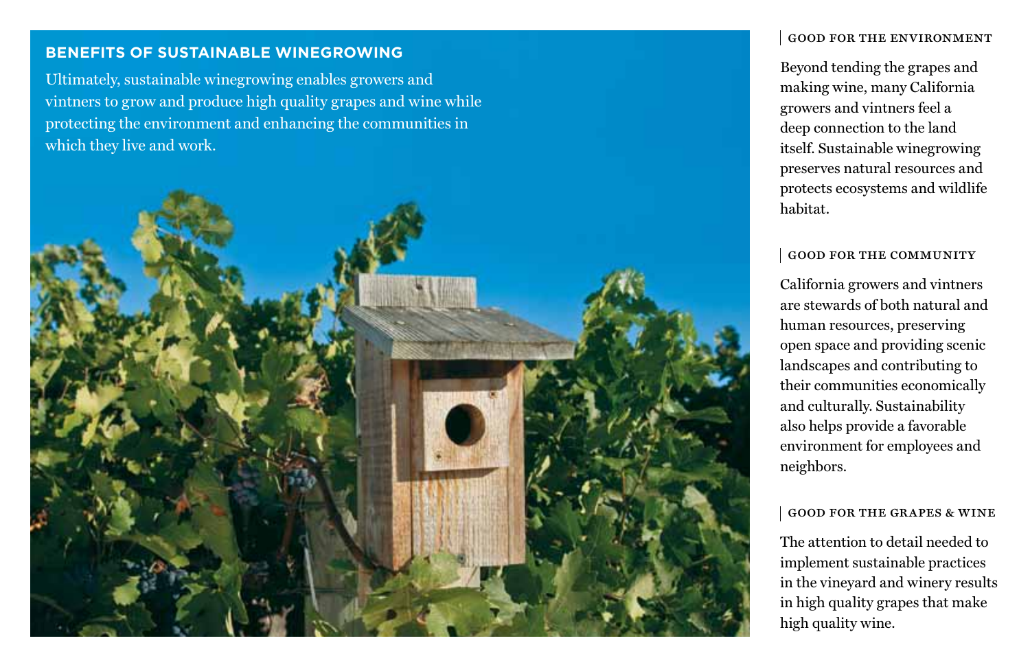## **BENEFITS OF SUSTAINABLE WINEGROWING**

Ultimately, sustainable winegrowing enables growers and vintners to grow and produce high quality grapes and wine while protecting the environment and enhancing the communities in which they live and work.



#### good for the environment

Beyond tending the grapes and making wine, many California growers and vintners feel a deep connection to the land itself. Sustainable winegrowing preserves natural resources and protects ecosystems and wildlife habitat.

#### good for the community

California growers and vintners are stewards of both natural and human resources, preserving open space and providing scenic landscapes and contributing to their communities economically and culturally. Sustainability also helps provide a favorable environment for employees and neighbors.

#### good for the grapes & wine

The attention to detail needed to implement sustainable practices in the vineyard and winery results in high quality grapes that make high quality wine.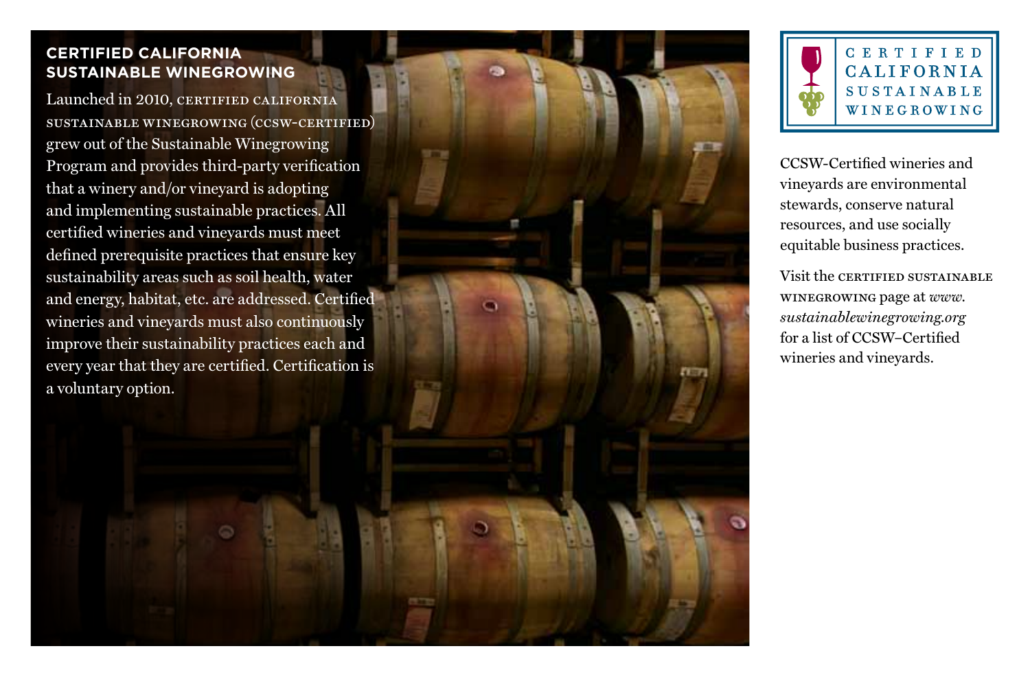# **Certified California Sustainable Winegrowing**

Launched in 2010, CERTIFIED CALIFORNIA sustainable winegrowing (ccsw-certified) grew out of the Sustainable Winegrowing Program and provides third-party verification that a winery and/or vineyard is adopting and implementing sustainable practices. All certified wineries and vineyards must meet defined prerequisite practices that ensure key sustainability areas such as soil health, water and energy, habitat, etc. are addressed. Certified wineries and vineyards must also continuously improve their sustainability practices each and every year that they are certified. Certification is a voluntary option.



CCSW-Certified wineries and vineyards are environmental stewards, conserve natural resources, and use socially equitable business practices.

Visit the certified sustainable winegrowing page at *www. sustainablewinegrowing.org*  for a list of CCSW–Certified wineries and vineyards.